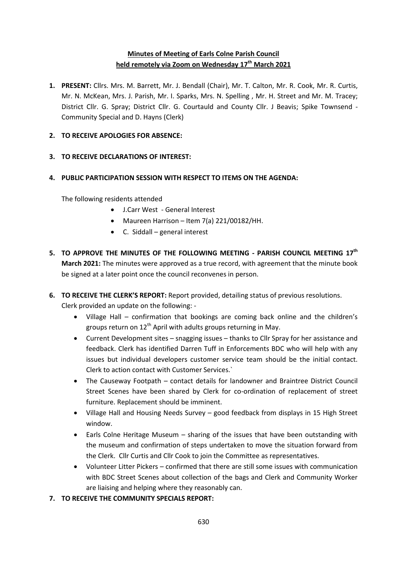# **Minutes of Meeting of Earls Colne Parish Council held remotely via Zoom on Wednesday 17th March 2021**

**1. PRESENT:** Cllrs. Mrs. M. Barrett, Mr. J. Bendall (Chair), Mr. T. Calton, Mr. R. Cook, Mr. R. Curtis, Mr. N. McKean, Mrs. J. Parish, Mr. I. Sparks, Mrs. N. Spelling , Mr. H. Street and Mr. M. Tracey; District Cllr. G. Spray; District Cllr. G. Courtauld and County Cllr. J Beavis; Spike Townsend - Community Special and D. Hayns (Clerk)

# **2. TO RECEIVE APOLOGIES FOR ABSENCE:**

**3. TO RECEIVE DECLARATIONS OF INTEREST:**

# **4. PUBLIC PARTICIPATION SESSION WITH RESPECT TO ITEMS ON THE AGENDA:**

The following residents attended

- J.Carr West General Interest
- Maureen Harrison Item 7(a) 221/00182/HH.
- C. Siddall general interest
- **5. TO APPROVE THE MINUTES OF THE FOLLOWING MEETING - PARISH COUNCIL MEETING 17th March 2021:** The minutes were approved as a true record, with agreement that the minute book be signed at a later point once the council reconvenes in person.
- **6. TO RECEIVE THE CLERK'S REPORT:** Report provided, detailing status of previous resolutions. Clerk provided an update on the following: -
	- Village Hall confirmation that bookings are coming back online and the children's groups return on  $12<sup>th</sup>$  April with adults groups returning in May.
	- Current Development sites snagging issues thanks to Cllr Spray for her assistance and feedback. Clerk has identified Darren Tuff in Enforcements BDC who will help with any issues but individual developers customer service team should be the initial contact. Clerk to action contact with Customer Services.`
	- The Causeway Footpath contact details for landowner and Braintree District Council Street Scenes have been shared by Clerk for co-ordination of replacement of street furniture. Replacement should be imminent.
	- Village Hall and Housing Needs Survey good feedback from displays in 15 High Street window.
	- Earls Colne Heritage Museum sharing of the issues that have been outstanding with the museum and confirmation of steps undertaken to move the situation forward from the Clerk. Cllr Curtis and Cllr Cook to join the Committee as representatives.
	- Volunteer Litter Pickers confirmed that there are still some issues with communication with BDC Street Scenes about collection of the bags and Clerk and Community Worker are liaising and helping where they reasonably can.
- **7. TO RECEIVE THE COMMUNITY SPECIALS REPORT:**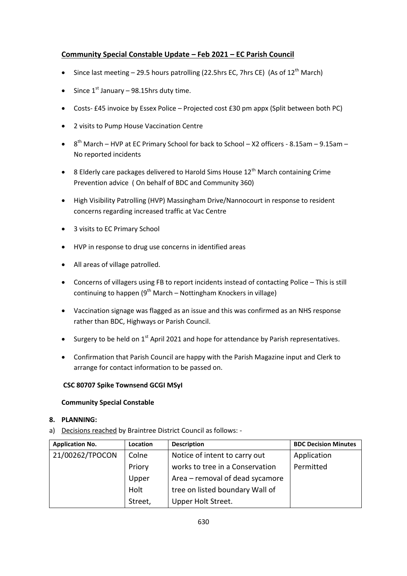# **Community Special Constable Update – Feb 2021 – EC Parish Council**

- Since last meeting 29.5 hours patrolling (22.5hrs EC, 7hrs CE) (As of  $12<sup>th</sup>$  March)
- Since  $1^{st}$  January 98.15hrs duty time.
- Costs- £45 invoice by Essex Police Projected cost £30 pm appx (Split between both PC)
- 2 visits to Pump House Vaccination Centre
- $\bullet$  $8<sup>th</sup>$  March – HVP at EC Primary School for back to School – X2 officers - 8.15am – 9.15am – No reported incidents
- 8 Elderly care packages delivered to Harold Sims House  $12^{th}$  March containing Crime Prevention advice ( On behalf of BDC and Community 360)
- High Visibility Patrolling (HVP) Massingham Drive/Nannocourt in response to resident concerns regarding increased traffic at Vac Centre
- 3 visits to EC Primary School
- HVP in response to drug use concerns in identified areas
- All areas of village patrolled.
- Concerns of villagers using FB to report incidents instead of contacting Police This is still continuing to happen  $(9<sup>th</sup> March - Nottingham Knockers in village)$
- Vaccination signage was flagged as an issue and this was confirmed as an NHS response rather than BDC, Highways or Parish Council.
- Surgery to be held on  $1<sup>st</sup>$  April 2021 and hope for attendance by Parish representatives.
- Confirmation that Parish Council are happy with the Parish Magazine input and Clerk to arrange for contact information to be passed on.

### **CSC 80707 Spike Townsend GCGI MSyI**

### **Community Special Constable**

## **8. PLANNING:**

a) Decisions reached by Braintree District Council as follows: -

| <b>Application No.</b> | Location | <b>Description</b>              | <b>BDC Decision Minutes</b> |
|------------------------|----------|---------------------------------|-----------------------------|
| 21/00262/TPOCON        | Colne    | Notice of intent to carry out   | Application                 |
|                        | Priory   | works to tree in a Conservation | Permitted                   |
|                        | Upper    | Area - removal of dead sycamore |                             |
|                        | Holt     | tree on listed boundary Wall of |                             |
|                        | Street,  | Upper Holt Street.              |                             |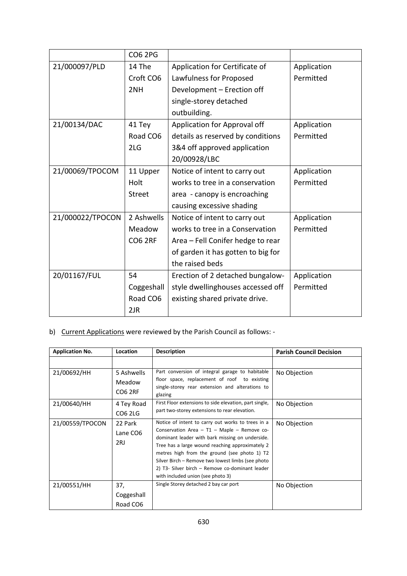|                  | <b>CO6 2PG</b> |                                    |             |
|------------------|----------------|------------------------------------|-------------|
| 21/000097/PLD    | 14 The         | Application for Certificate of     | Application |
|                  | Croft CO6      | Lawfulness for Proposed            | Permitted   |
|                  | 2NH            | Development - Erection off         |             |
|                  |                | single-storey detached             |             |
|                  |                | outbuilding.                       |             |
| 21/00134/DAC     | 41 Tey         | Application for Approval off       | Application |
|                  | Road CO6       | details as reserved by conditions  | Permitted   |
|                  | 2LG            | 3&4 off approved application       |             |
|                  |                | 20/00928/LBC                       |             |
| 21/00069/TPOCOM  | 11 Upper       | Notice of intent to carry out      | Application |
|                  | Holt           | works to tree in a conservation    | Permitted   |
|                  | <b>Street</b>  | area - canopy is encroaching       |             |
|                  |                | causing excessive shading          |             |
| 21/000022/TPOCON | 2 Ashwells     | Notice of intent to carry out      | Application |
|                  | Meadow         | works to tree in a Conservation    | Permitted   |
|                  | <b>CO6 2RF</b> | Area - Fell Conifer hedge to rear  |             |
|                  |                | of garden it has gotten to big for |             |
|                  |                | the raised beds                    |             |
| 20/01167/FUL     | 54             | Erection of 2 detached bungalow-   | Application |
|                  | Coggeshall     | style dwellinghouses accessed off  | Permitted   |
|                  | Road CO6       | existing shared private drive.     |             |
|                  | 2JR            |                                    |             |

b) Current Applications were reviewed by the Parish Council as follows: -

| <b>Application No.</b> | <b>Location</b>                        | <b>Description</b>                                                                                                                                                                                                                                                                                                                                                                                  | <b>Parish Council Decision</b> |
|------------------------|----------------------------------------|-----------------------------------------------------------------------------------------------------------------------------------------------------------------------------------------------------------------------------------------------------------------------------------------------------------------------------------------------------------------------------------------------------|--------------------------------|
|                        |                                        |                                                                                                                                                                                                                                                                                                                                                                                                     |                                |
| 21/00692/HH            | 5 Ashwells<br>Meadow<br><b>CO6 2RF</b> | Part conversion of integral garage to habitable<br>floor space, replacement of roof to existing<br>single-storey rear extension and alterations to<br>glazing                                                                                                                                                                                                                                       | No Objection                   |
| 21/00640/HH            | 4 Tey Road<br>CO6 2LG                  | First Floor extensions to side elevation, part single,<br>part two-storey extensions to rear elevation.                                                                                                                                                                                                                                                                                             | No Objection                   |
| 21/00559/TPOCON        | 22 Park<br>Lane CO6<br>2RJ             | Notice of intent to carry out works to trees in a<br>Conservation Area - T1 - Maple - Remove co-<br>dominant leader with bark missing on underside.<br>Tree has a large wound reaching approximately 2<br>metres high from the ground (see photo 1) T2<br>Silver Birch - Remove two lowest limbs (see photo<br>2) T3- Silver birch - Remove co-dominant leader<br>with included union (see photo 3) | No Objection                   |
| 21/00551/HH            | 37,<br>Coggeshall<br>Road CO6          | Single Storey detached 2 bay car port                                                                                                                                                                                                                                                                                                                                                               | No Objection                   |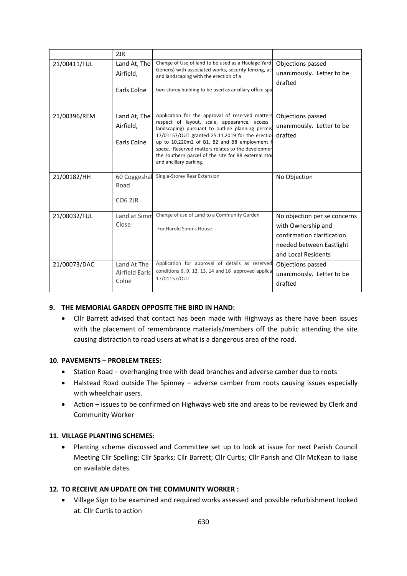|              | 2JR                                      |                                                                                                                                                                                                                                                                                                                                                                                                 |                                                                                                                                     |
|--------------|------------------------------------------|-------------------------------------------------------------------------------------------------------------------------------------------------------------------------------------------------------------------------------------------------------------------------------------------------------------------------------------------------------------------------------------------------|-------------------------------------------------------------------------------------------------------------------------------------|
| 21/00411/FUL | Land At, The<br>Airfield,<br>Earls Colne | Change of Use of land to be used as a Haulage Yard<br>Generis) with associated works, security fencing, ac<br>and landscaping with the erection of a<br>two-storey building to be used as ancillary office spa                                                                                                                                                                                  | Objections passed<br>unanimously. Letter to be<br>drafted                                                                           |
| 21/00396/REM | Land At, The<br>Airfield,<br>Earls Colne | Application for the approval of reserved matters<br>respect of layout, scale, appearance, access<br>landscaping) pursuant to outline planning permis<br>17/01157/OUT granted 25.11.2019 for the erection<br>up to 10,220m2 of B1, B2 and B8 employment f<br>space. Reserved matters relates to the developmen<br>the southern parcel of the site for B8 external stor<br>and ancillary parking. | Objections passed<br>unanimously. Letter to be<br>drafted                                                                           |
| 21/00182/HH  | 60 Coggeshal<br>Road<br><b>CO6 2JR</b>   | Single-Storey Rear Extension                                                                                                                                                                                                                                                                                                                                                                    | No Objection                                                                                                                        |
| 21/00032/FUL | Land at Simm<br>Close                    | Change of use of Land to a Community Garden<br>For Harold Simms House                                                                                                                                                                                                                                                                                                                           | No objection per se concerns<br>with Ownership and<br>confirmation clarification<br>needed between Eastlight<br>and Local Residents |
| 21/00073/DAC | Land At The<br>Airfield Earls<br>Colne   | Application for approval of details as reserved<br>conditions 6, 9, 12, 13, 14 and 16 approved applica<br>17/01157/OUT                                                                                                                                                                                                                                                                          | Objections passed<br>unanimously. Letter to be<br>drafted                                                                           |

### **9. THE MEMORIAL GARDEN OPPOSITE THE BIRD IN HAND:**

 Cllr Barrett advised that contact has been made with Highways as there have been issues with the placement of remembrance materials/members off the public attending the site causing distraction to road users at what is a dangerous area of the road.

### **10. PAVEMENTS – PROBLEM TREES:**

- Station Road overhanging tree with dead branches and adverse camber due to roots
- Halstead Road outside The Spinney adverse camber from roots causing issues especially with wheelchair users.
- Action issues to be confirmed on Highways web site and areas to be reviewed by Clerk and Community Worker

## **11. VILLAGE PLANTING SCHEMES:**

 Planting scheme discussed and Committee set up to look at issue for next Parish Council Meeting Cllr Spelling; Cllr Sparks; Cllr Barrett; Cllr Curtis; Cllr Parish and Cllr McKean to liaise on available dates.

### **12. TO RECEIVE AN UPDATE ON THE COMMUNITY WORKER :**

 Village Sign to be examined and required works assessed and possible refurbishment looked at. Cllr Curtis to action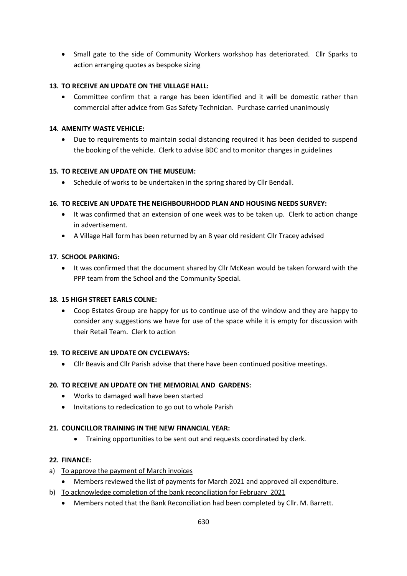Small gate to the side of Community Workers workshop has deteriorated. Cllr Sparks to action arranging quotes as bespoke sizing

## **13. TO RECEIVE AN UPDATE ON THE VILLAGE HALL:**

 Committee confirm that a range has been identified and it will be domestic rather than commercial after advice from Gas Safety Technician. Purchase carried unanimously

### **14. AMENITY WASTE VEHICLE:**

 Due to requirements to maintain social distancing required it has been decided to suspend the booking of the vehicle. Clerk to advise BDC and to monitor changes in guidelines

## **15. TO RECEIVE AN UPDATE ON THE MUSEUM:**

Schedule of works to be undertaken in the spring shared by Cllr Bendall.

## **16. TO RECEIVE AN UPDATE THE NEIGHBOURHOOD PLAN AND HOUSING NEEDS SURVEY:**

- It was confirmed that an extension of one week was to be taken up. Clerk to action change in advertisement.
- A Village Hall form has been returned by an 8 year old resident Cllr Tracey advised

### **17. SCHOOL PARKING:**

 It was confirmed that the document shared by Cllr McKean would be taken forward with the PPP team from the School and the Community Special.

### **18. 15 HIGH STREET EARLS COLNE:**

 Coop Estates Group are happy for us to continue use of the window and they are happy to consider any suggestions we have for use of the space while it is empty for discussion with their Retail Team. Clerk to action

### **19. TO RECEIVE AN UPDATE ON CYCLEWAYS:**

Cllr Beavis and Cllr Parish advise that there have been continued positive meetings.

### **20. TO RECEIVE AN UPDATE ON THE MEMORIAL AND GARDENS:**

- Works to damaged wall have been started
- Invitations to rededication to go out to whole Parish

### **21. COUNCILLOR TRAINING IN THE NEW FINANCIAL YEAR:**

Training opportunities to be sent out and requests coordinated by clerk.

## **22. FINANCE:**

- a) To approve the payment of March invoices
	- Members reviewed the list of payments for March 2021 and approved all expenditure.
- b) To acknowledge completion of the bank reconciliation for February 2021
	- Members noted that the Bank Reconciliation had been completed by Cllr. M. Barrett.